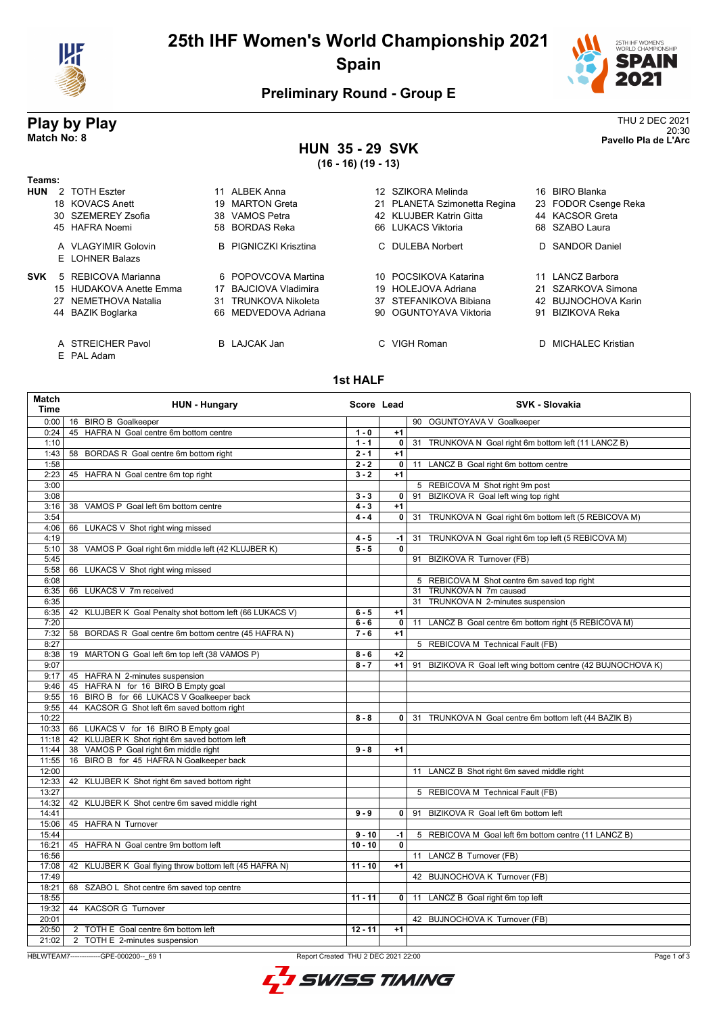

# **25th IHF Women's World Championship 2021 Spain**



20:30 **Match No: 8 Pavello Pla de L'Arc**

## **Preliminary Round - Group E**

# **Play by Play**<br>Match No: 8<br>Pavello Pla de L'Arc

#### **HUN 35 - 29 SVK (16 - 16) (19 - 13)**

|            | (16 - 16) (19 - 13)     |    |                              |    |                              |     |                      |
|------------|-------------------------|----|------------------------------|----|------------------------------|-----|----------------------|
| Teams:     |                         |    |                              |    |                              |     |                      |
| <b>HUN</b> | 2 TOTH Eszter           |    | 11 ALBEK Anna                |    | 12 SZIKORA Melinda           |     | 16 BIRO Blanka       |
|            | 18 KOVACS Anett         | 19 | <b>MARTON Greta</b>          |    | 21 PLANETA Szimonetta Regina |     | 23 FODOR Csenge Reka |
|            | 30 SZEMEREY Zsofia      |    | 38 VAMOS Petra               |    | 42 KLUJBER Katrin Gitta      |     | 44 KACSOR Greta      |
|            | 45 HAFRA Noemi          |    | 58 BORDAS Reka               |    | 66 LUKACS Viktoria           |     | 68 SZABO Laura       |
|            | A VLAGYIMIR Golovin     |    | <b>B</b> PIGNICZKI Krisztina |    | C DULEBA Norbert             |     | D SANDOR Daniel      |
|            | E LOHNER Balazs         |    |                              |    |                              |     |                      |
| <b>SVK</b> | 5 REBICOVA Marianna     |    | 6 POPOVCOVA Martina          |    | 10 POCSIKOVA Katarina        |     | 11 LANCZ Barbora     |
|            | 15 HUDAKOVA Anette Emma | 17 | BAJCIOVA Vladimira           | 19 | <b>HOLEJOVA Adriana</b>      | 21  | SZARKOVA Simona      |
|            | 27 NEMETHOVA Natalia    | 31 | <b>TRUNKOVA Nikoleta</b>     |    | 37 STEFANIKOVA Bibiana       | 42. | BUJNOCHOVA Karin     |
|            | 44 BAZIK Boglarka       |    | 66 MEDVEDOVA Adriana         |    | 90 OGUNTOYAVA Viktoria       | 91  | <b>BIZIKOVA Reka</b> |
|            | A STREICHER Pavol       |    | <b>B</b> LAJCAK Jan          |    | VIGH Roman                   | D.  | MICHALEC Kristian    |

E PAL Adam

#### **1st HALF**

| <b>Match</b><br>Time | <b>HUN - Hungary</b>                                     | Score Lead |                | <b>SVK - Slovakia</b>                                           |
|----------------------|----------------------------------------------------------|------------|----------------|-----------------------------------------------------------------|
| 0:00                 | 16 BIRO B Goalkeeper                                     |            |                | 90 OGUNTOYAVA V Goalkeeper                                      |
| 0:24                 | 45 HAFRA N Goal centre 6m bottom centre                  | $1 - 0$    | $+1$           |                                                                 |
| 1:10                 |                                                          | $1 - 1$    | $\mathbf{0}$   | TRUNKOVA N Goal right 6m bottom left (11 LANCZ B)<br>31         |
| 1:43                 | 58 BORDAS R Goal centre 6m bottom right                  | $2 - 1$    | $+1$           |                                                                 |
| 1:58                 |                                                          | $2 - 2$    | 0              | 11 LANCZ B Goal right 6m bottom centre                          |
| 2:23                 | 45 HAFRA N Goal centre 6m top right                      | $3 - 2$    | $+1$           |                                                                 |
| 3:00                 |                                                          |            |                | 5 REBICOVA M Shot right 9m post                                 |
| 3:08                 |                                                          | $3 - 3$    | $\mathbf{0}$   | BIZIKOVA R Goal left wing top right<br>91                       |
| 3:16                 | VAMOS P Goal left 6m bottom centre<br>38                 | $4 - 3$    | $+1$           |                                                                 |
| 3:54                 |                                                          | $4 - 4$    | $\mathbf{0}$   | 31 TRUNKOVA N Goal right 6m bottom left (5 REBICOVA M)          |
| 4:06                 | LUKACS V Shot right wing missed<br>66                    |            |                |                                                                 |
| 4:19                 |                                                          | $4 - 5$    | -1             | 31 TRUNKOVA N Goal right 6m top left (5 REBICOVA M)             |
| 5:10                 | VAMOS P Goal right 6m middle left (42 KLUJBER K)<br>38   | $5 - 5$    | $\mathbf{0}$   |                                                                 |
| 5:45                 |                                                          |            |                | 91 BIZIKOVA R Turnover (FB)                                     |
| 5:58                 | LUKACS V Shot right wing missed<br>66                    |            |                |                                                                 |
| 6:08                 |                                                          |            |                | 5 REBICOVA M Shot centre 6m saved top right                     |
| 6:35                 | 66 LUKACS V 7m received                                  |            |                | TRUNKOVA N 7m caused<br>31                                      |
| 6:35                 |                                                          |            |                | 31 TRUNKOVA N 2-minutes suspension                              |
| 6:35                 | 42 KLUJBER K Goal Penalty shot bottom left (66 LUKACS V) | $6 - 5$    | $+1$           |                                                                 |
| 7:20                 |                                                          | $6 - 6$    | $\overline{0}$ | LANCZ B Goal centre 6m bottom right (5 REBICOVA M)<br>11        |
| 7:32                 | BORDAS R Goal centre 6m bottom centre (45 HAFRA N)<br>58 | $7 - 6$    | $+1$           |                                                                 |
| 8:27                 |                                                          |            |                | 5 REBICOVA M Technical Fault (FB)                               |
| 8:38                 | 19 MARTON G Goal left 6m top left (38 VAMOS P)           | $8 - 6$    | $+2$           |                                                                 |
| 9:07                 |                                                          | $8 - 7$    | $+1$           | 91<br>BIZIKOVA R Goal left wing bottom centre (42 BUJNOCHOVA K) |
| 9:17                 | 45 HAFRA N 2-minutes suspension                          |            |                |                                                                 |
| 9:46                 | 45 HAFRA N for 16 BIRO B Empty goal                      |            |                |                                                                 |
| 9:55                 | 16 BIRO B for 66 LUKACS V Goalkeeper back                |            |                |                                                                 |
| 9:55                 | 44 KACSOR G Shot left 6m saved bottom right              |            |                |                                                                 |
| 10:22                |                                                          | $8 - 8$    | $\mathbf{0}$   | 31 TRUNKOVA N Goal centre 6m bottom left (44 BAZIK B)           |
| 10:33                | 66 LUKACS V for 16 BIRO B Empty goal                     |            |                |                                                                 |
| 11:18                | 42 KLUJBER K Shot right 6m saved bottom left             |            |                |                                                                 |
| 11:44                | 38 VAMOS P Goal right 6m middle right                    | $9 - 8$    | $+1$           |                                                                 |
| 11:55                | BIRO B for 45 HAFRA N Goalkeeper back<br>16              |            |                |                                                                 |
| 12:00                |                                                          |            |                | 11 LANCZ B Shot right 6m saved middle right                     |
| 12:33                | 42 KLUJBER K Shot right 6m saved bottom right            |            |                |                                                                 |
| 13:27                |                                                          |            |                | 5 REBICOVA M Technical Fault (FB)                               |
| 14:32                | 42 KLUJBER K Shot centre 6m saved middle right           |            |                |                                                                 |
| 14:41                |                                                          | $9 - 9$    | $\mathbf{0}$   | BIZIKOVA R Goal left 6m bottom left<br>91                       |
| 15:06                | 45 HAFRA N Turnover                                      |            |                |                                                                 |
| 15:44                |                                                          | $9 - 10$   | -1             | 5 REBICOVA M Goal left 6m bottom centre (11 LANCZ B)            |
| 16:21                | 45 HAFRA N Goal centre 9m bottom left                    | $10 - 10$  | $\mathbf{0}$   |                                                                 |
| 16:56                |                                                          |            |                | 11 LANCZ B Turnover (FB)                                        |
| 17:08                | 42 KLUJBER K Goal flying throw bottom left (45 HAFRA N)  | $11 - 10$  | $+1$           |                                                                 |
| 17:49                |                                                          |            |                | 42 BUJNOCHOVA K Turnover (FB)                                   |
| 18:21                | 68 SZABO L Shot centre 6m saved top centre               |            |                |                                                                 |
| 18:55                |                                                          | $11 - 11$  | $\overline{0}$ | LANCZ B Goal right 6m top left<br>11                            |
| 19:32                | 44 KACSOR G Turnover                                     |            |                |                                                                 |
| 20:01                |                                                          |            |                | 42 BUJNOCHOVA K Turnover (FB)                                   |
| 20:50                | 2 TOTH E Goal centre 6m bottom left                      | $12 - 11$  | $+1$           |                                                                 |
| 21:02                | 2 TOTH E 2-minutes suspension                            |            |                |                                                                 |

HBLWTEAM7-------------GPE-000200--\_69 1 Report Created THU 2 DEC 2021 22:00

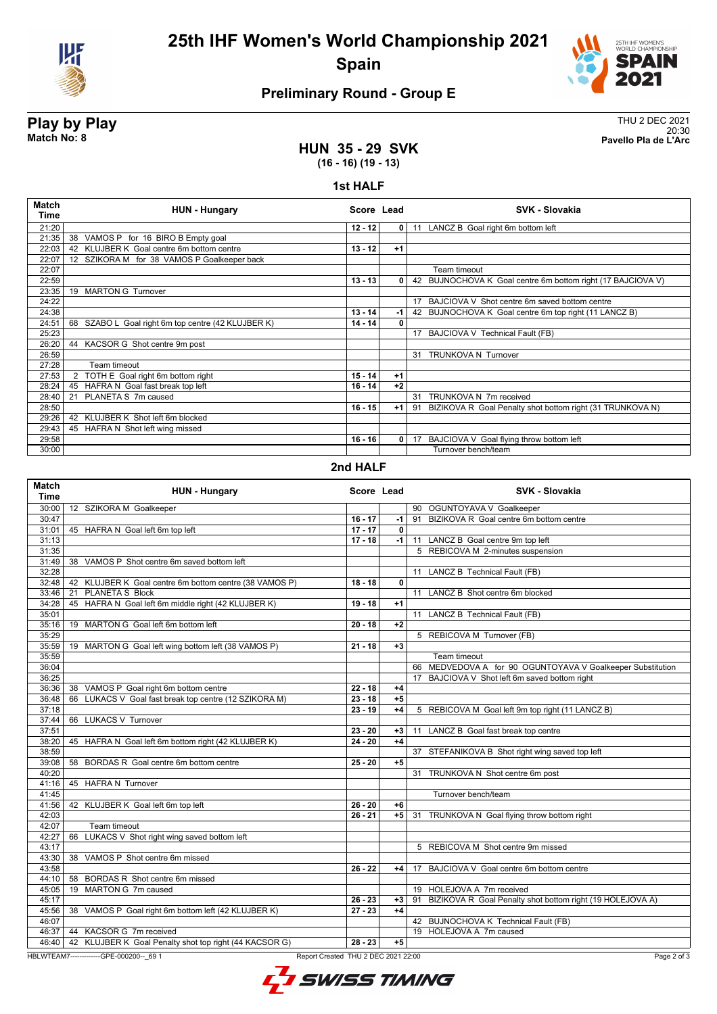

**25th IHF Women's World Championship 2021 Spain**



# **Preliminary Round - Group E**

**Play by Play**<br>Match No: 8<br>Pavello Pla de L'Arc 20:30 **Match No: 8 Pavello Pla de L'Arc**

### **HUN 35 - 29 SVK (16 - 16) (19 - 13)**

#### **1st HALF**

| <b>Match</b><br>Time | <b>HUN - Hungary</b>                                  | Score Lead |                | SVK - Slovakia                                                  |
|----------------------|-------------------------------------------------------|------------|----------------|-----------------------------------------------------------------|
| 21:20                |                                                       | $12 - 12$  | $\overline{0}$ | 11 LANCZ B Goal right 6m bottom left                            |
| 21:35                | 38 VAMOS P for 16 BIRO B Empty goal                   |            |                |                                                                 |
| 22:03                | 42 KLUJBER K Goal centre 6m bottom centre             | $13 - 12$  | $+1$           |                                                                 |
| 22:07                | 12 SZIKORA M for 38 VAMOS P Goalkeeper back           |            |                |                                                                 |
| 22:07                |                                                       |            |                | Team timeout                                                    |
| 22:59                |                                                       | $13 - 13$  | 0              | 42 BUJNOCHOVA K Goal centre 6m bottom right (17 BAJCIOVA V)     |
| 23:35                | <b>MARTON G Turnover</b><br>19                        |            |                |                                                                 |
| 24:22                |                                                       |            |                | BAJCIOVA V Shot centre 6m saved bottom centre<br>17             |
| 24:38                |                                                       | $13 - 14$  | -1             | 42 BUJNOCHOVA K Goal centre 6m top right (11 LANCZ B)           |
| 24:51                | 68<br>SZABO L Goal right 6m top centre (42 KLUJBER K) | $14 - 14$  | 0              |                                                                 |
| 25:23                |                                                       |            |                | 17 BAJCIOVA V Technical Fault (FB)                              |
| 26:20                | 44 KACSOR G Shot centre 9m post                       |            |                |                                                                 |
| 26:59                |                                                       |            |                | 31 TRUNKOVA N Turnover                                          |
| 27:28                | Team timeout                                          |            |                |                                                                 |
| 27:53                | TOTH E Goal right 6m bottom right                     | $15 - 14$  | $+1$           |                                                                 |
| 28:24                | 45 HAFRA N Goal fast break top left                   | $16 - 14$  | $+2$           |                                                                 |
| 28:40                | PLANETA S 7m caused<br>21                             |            |                | TRUNKOVA N 7m received<br>31                                    |
| 28:50                |                                                       | $16 - 15$  | $+1$           | BIZIKOVA R Goal Penalty shot bottom right (31 TRUNKOVA N)<br>91 |
| 29:26                | KLUJBER K Shot left 6m blocked<br>42                  |            |                |                                                                 |
| 29:43                | 45 HAFRA N Shot left wing missed                      |            |                |                                                                 |
| 29:58                |                                                       | $16 - 16$  | 0              | BAJCIOVA V Goal flying throw bottom left<br>17                  |
| 30:00                |                                                       |            |                | Turnover bench/team                                             |

#### **2nd HALF**

| <b>Match</b><br>Time | <b>HUN - Hungary</b>                                           |                                     | Score Lead |    | <b>SVK - Slovakia</b>                                      |
|----------------------|----------------------------------------------------------------|-------------------------------------|------------|----|------------------------------------------------------------|
| 30:00                | 12 SZIKORA M Goalkeeper                                        |                                     |            |    | 90 OGUNTOYAVA V Goalkeeper                                 |
| 30:47                |                                                                | $16 - 17$                           | -1         |    | 91 BIZIKOVA R Goal centre 6m bottom centre                 |
| 31:01                | 45 HAFRA N Goal left 6m top left                               | $17 - 17$                           | 0          |    |                                                            |
| 31:13                |                                                                | $17 - 18$                           | $-1$       |    | 11 LANCZ B Goal centre 9m top left                         |
| 31:35                |                                                                |                                     |            |    | 5 REBICOVA M 2-minutes suspension                          |
| 31:49                | 38 VAMOS P Shot centre 6m saved bottom left                    |                                     |            |    |                                                            |
| 32:28                |                                                                |                                     |            |    | 11 LANCZ B Technical Fault (FB)                            |
|                      | 32:48   42 KLUJBER K Goal centre 6m bottom centre (38 VAMOS P) | $18 - 18$                           | 0          |    |                                                            |
| 33:46                | 21 PLANETA S Block                                             |                                     |            |    | 11 LANCZ B Shot centre 6m blocked                          |
| 34:28                | 45 HAFRA N Goal left 6m middle right (42 KLUJBER K)            | $19 - 18$                           | $+1$       |    |                                                            |
| 35:01                |                                                                |                                     |            |    | 11 LANCZ B Technical Fault (FB)                            |
| 35:16                | 19 MARTON G Goal left 6m bottom left                           | $20 - 18$                           | $+2$       |    |                                                            |
| 35:29                |                                                                |                                     |            |    | 5 REBICOVA M Turnover (FB)                                 |
| 35:59                | 19 MARTON G Goal left wing bottom left (38 VAMOS P)            | $21 - 18$                           | $+3$       |    |                                                            |
| 35:59                |                                                                |                                     |            |    | Team timeout                                               |
| 36:04                |                                                                |                                     |            |    | 66 MEDVEDOVA A for 90 OGUNTOYAVA V Goalkeeper Substitution |
| 36:25                |                                                                |                                     |            |    | 17 BAJCIOVA V Shot left 6m saved bottom right              |
| 36:36                | 38 VAMOS P Goal right 6m bottom centre                         | $22 - 18$                           | +4         |    |                                                            |
| 36:48                | 66 LUKACS V Goal fast break top centre (12 SZIKORA M)          | $23 - 18$                           | $+5$       |    |                                                            |
| 37:18                |                                                                | $23 - 19$                           | $+4$       |    | 5 REBICOVA M Goal left 9m top right (11 LANCZ B)           |
| 37:44                | 66 LUKACS V Turnover                                           |                                     |            |    |                                                            |
| 37:51                |                                                                | $23 - 20$                           | $+3$       |    | 11 LANCZ B Goal fast break top centre                      |
| 38:20                | 45 HAFRA N Goal left 6m bottom right (42 KLUJBER K)            | $24 - 20$                           | $+4$       |    |                                                            |
| 38:59                |                                                                |                                     |            |    | 37 STEFANIKOVA B Shot right wing saved top left            |
| 39:08                | 58 BORDAS R Goal centre 6m bottom centre                       | $25 - 20$                           | $+5$       |    |                                                            |
| 40:20                |                                                                |                                     |            | 31 | TRUNKOVA N Shot centre 6m post                             |
| 41:16                | 45 HAFRA N Turnover                                            |                                     |            |    |                                                            |
| 41:45                |                                                                |                                     |            |    | Turnover bench/team                                        |
| 41:56                | 42 KLUJBER K Goal left 6m top left                             | $26 - 20$                           | $+6$       |    |                                                            |
| 42:03                |                                                                | $26 - 21$                           | $+5$       | 31 | TRUNKOVA N Goal flying throw bottom right                  |
| 42:07                | Team timeout                                                   |                                     |            |    |                                                            |
| 42:27                | LUKACS V Shot right wing saved bottom left<br>66               |                                     |            |    |                                                            |
| 43:17                |                                                                |                                     |            |    | 5 REBICOVA M Shot centre 9m missed                         |
| 43:30                | 38 VAMOS P Shot centre 6m missed                               |                                     |            |    |                                                            |
| 43:58                |                                                                | $26 - 22$                           | +4         |    | 17 BAJCIOVA V Goal centre 6m bottom centre                 |
|                      | 44:10   58 BORDAS R Shot centre 6m missed                      |                                     |            |    |                                                            |
| 45:05                | 19 MARTON G 7m caused                                          |                                     |            |    | 19 HOLEJOVA A 7m received                                  |
| 45:17                |                                                                | $26 - 23$                           | $+3$       | 91 | BIZIKOVA R Goal Penalty shot bottom right (19 HOLEJOVA A)  |
| 45:56                | 38 VAMOS P Goal right 6m bottom left (42 KLUJBER K)            | $27 - 23$                           | $+4$       |    |                                                            |
| 46:07                |                                                                |                                     |            |    | 42 BUJNOCHOVA K Technical Fault (FB)                       |
| 46:37                | 44 KACSOR G 7m received                                        |                                     |            |    | 19 HOLEJOVA A 7m caused                                    |
|                      | 46:40   42 KLUJBER K Goal Penalty shot top right (44 KACSOR G) | $28 - 23$                           | $+5$       |    |                                                            |
|                      | HBLWTEAM7--------------GPE-000200-- 69 1                       | Report Created THU 2 DEC 2021 22:00 |            |    | Page 2 of 3                                                |
|                      |                                                                |                                     |            |    |                                                            |